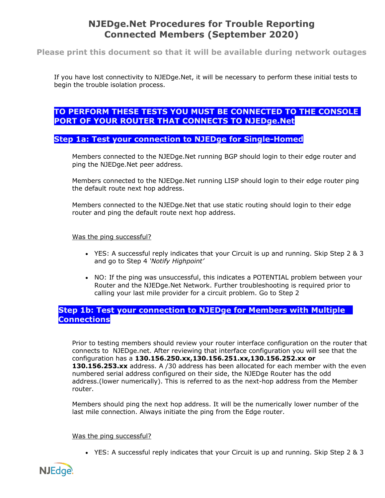# **NJEDge.Net Procedures for Trouble Reporting Connected Members (September 2020)**

**Please print this document so that it will be available during network outages**

If you have lost connectivity to NJEDge.Net, it will be necessary to perform these initial tests to begin the trouble isolation process.

# **TO PERFORM THESE TESTS YOU MUST BE CONNECTED TO THE CONSOLE PORT OF YOUR ROUTER THAT CONNECTS TO NJEDge.Net**

# **Step 1a: Test your connection to NJEDge for Single-Homed**

Members connected to the NJEDge.Net running BGP should login to their edge router and ping the NJEDge.Net peer address.

Members connected to the NJEDge.Net running LISP should login to their edge router ping the default route next hop address.

Members connected to the NJEDge.Net that use static routing should login to their edge router and ping the default route next hop address.

### Was the ping successful?

- YES: A successful reply indicates that your Circuit is up and running. Skip Step 2 & 3 and go to Step 4 *'Notify Highpoint'*
- NO: If the ping was unsuccessful, this indicates a POTENTIAL problem between your Router and the NJEDge.Net Network. Further troubleshooting is required prior to calling your last mile provider for a circuit problem. Go to Step 2

# **Step 1b: Test your connection to NJEDge for Members with Multiple Connections**

Prior to testing members should review your router interface configuration on the router that connects to NJEDge.net. After reviewing that interface configuration you will see that the configuration has a **130.156.250.xx,130.156.251.xx,130.156.252.xx or 130.156.253.xx** address. A /30 address has been allocated for each member with the even numbered serial address configured on their side, the NJEDge Router has the odd address.(lower numerically). This is referred to as the next-hop address from the Member router.

Members should ping the next hop address. It will be the numerically lower number of the last mile connection. Always initiate the ping from the Edge router.

### Was the ping successful?

• YES: A successful reply indicates that your Circuit is up and running. Skip Step 2 & 3

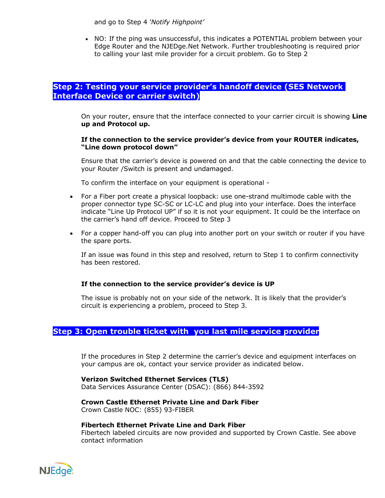and go to Step 4 *'Notify Highpoint'*

• NO: If the ping was unsuccessful, this indicates a POTENTIAL problem between your Edge Router and the NJEDge.Net Network. Further troubleshooting is required prior to calling your last mile provider for a circuit problem. Go to Step 2

# **Step 2: Testing your service provider's handoff device (SES Network Interface Device or carrier switch)**

On your router, ensure that the interface connected to your carrier circuit is showing **Line up and Protocol up.**

#### **If the connection to the service provider's device from your ROUTER indicates, "Line down protocol down"**

Ensure that the carrier's device is powered on and that the cable connecting the device to your Router /Switch is present and undamaged.

To confirm the interface on your equipment is operational -

- For a Fiber port create a physical loopback: use one-strand multimode cable with the proper connector type SC-SC or LC-LC and plug into your interface. Does the interface indicate "Line Up Protocol UP" if so it is not your equipment. It could be the interface on the carrier's hand off device. Proceed to Step 3
- For a copper hand-off you can plug into another port on your switch or router if you have the spare ports.

If an issue was found in this step and resolved, return to Step 1 to confirm connectivity has been restored.

### **If the connection to the service provider's device is UP**

The issue is probably not on your side of the network. It is likely that the provider's circuit is experiencing a problem, proceed to Step 3.

# **Step 3: Open trouble ticket with you last mile service provider**

If the procedures in Step 2 determine the carrier's device and equipment interfaces on your campus are ok, contact your service provider as indicated below.

**Verizon Switched Ethernet Services (TLS)** Data Services Assurance Center (DSAC): (866) 844-3592

**Crown Castle Ethernet Private Line and Dark Fiber**  Crown Castle NOC: (855) 93-FIBER

### **Fibertech Ethernet Private Line and Dark Fiber**

Fibertech labeled circuits are now provided and supported by Crown Castle. See above contact information

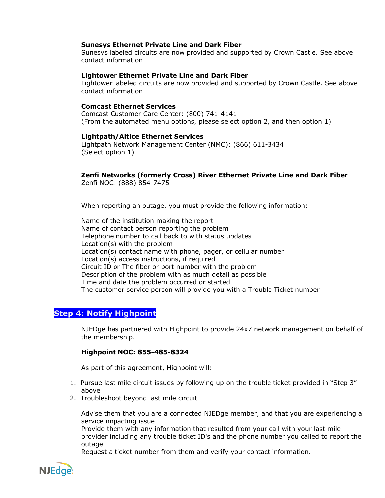### **Sunesys Ethernet Private Line and Dark Fiber**

Sunesys labeled circuits are now provided and supported by Crown Castle. See above contact information

#### **Lightower Ethernet Private Line and Dark Fiber**

Lightower labeled circuits are now provided and supported by Crown Castle. See above contact information

#### **Comcast Ethernet Services**

Comcast Customer Care Center: (800) 741-4141 (From the automated menu options, please select option 2, and then option 1)

#### **Lightpath/Altice Ethernet Services**

Lightpath Network Management Center (NMC): (866) 611-3434 (Select option 1)

#### **Zenfi Networks (formerly Cross) River Ethernet Private Line and Dark Fiber**  Zenfi NOC: (888) 854-7475

When reporting an outage, you must provide the following information:

Name of the institution making the report Name of contact person reporting the problem Telephone number to call back to with status updates Location(s) with the problem Location(s) contact name with phone, pager, or cellular number Location(s) access instructions, if required Circuit ID or The fiber or port number with the problem Description of the problem with as much detail as possible Time and date the problem occurred or started The customer service person will provide you with a Trouble Ticket number

# **Step 4: Notify Highpoint**

NJEDge has partnered with Highpoint to provide 24x7 network management on behalf of the membership.

#### **Highpoint NOC: 855-485-8324**

As part of this agreement, Highpoint will:

- 1. Pursue last mile circuit issues by following up on the trouble ticket provided in "Step 3" above
- 2. Troubleshoot beyond last mile circuit

Advise them that you are a connected NJEDge member, and that you are experiencing a service impacting issue

Provide them with any information that resulted from your call with your last mile provider including any trouble ticket ID's and the phone number you called to report the outage

Request a ticket number from them and verify your contact information.